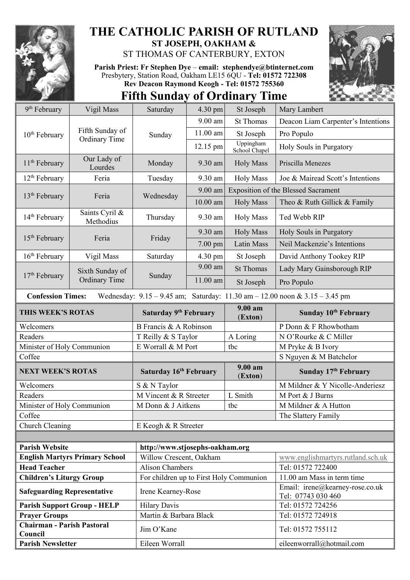

## **THE CATHOLIC PARISH OF RUTLAND ST JOSEPH, OAKHAM &**

ST THOMAS OF CANTERBURY, EXTON

**Parish Priest: Fr Stephen Dye** – **[email: stephendye@btinternet.com](mailto:email:%20%20stephendye@btinternet.com)** Presbytery, Station Road, Oakham LE15 6QU - **Tel: 01572 722308 Rev Deacon Raymond Keogh - Tel: 01572 755360**





| 9 <sup>th</sup> February                                                                                        | Vigil Mass                              | Saturday                                | 4.30 pm    | St Joseph                                  | Mary Lambert                                          |  |
|-----------------------------------------------------------------------------------------------------------------|-----------------------------------------|-----------------------------------------|------------|--------------------------------------------|-------------------------------------------------------|--|
| 10 <sup>th</sup> February                                                                                       | Fifth Sunday of<br><b>Ordinary Time</b> | Sunday                                  | $9.00$ am  | <b>St Thomas</b>                           | Deacon Liam Carpenter's Intentions                    |  |
|                                                                                                                 |                                         |                                         | 11.00 am   | St Joseph                                  | Pro Populo                                            |  |
|                                                                                                                 |                                         |                                         | 12.15 pm   | Uppingham<br>School Chapel                 | Holy Souls in Purgatory                               |  |
| $11th$ February                                                                                                 | Our Lady of<br>Lourdes                  | Monday                                  | 9.30 am    | <b>Holy Mass</b>                           | Priscilla Menezes                                     |  |
| $12th$ February                                                                                                 | Feria                                   | Tuesday                                 | 9.30 am    | <b>Holy Mass</b>                           | Joe & Mairead Scott's Intentions                      |  |
| 13 <sup>th</sup> February                                                                                       | Feria                                   | Wednesday                               | 9.00 am    | <b>Exposition of the Blessed Sacrament</b> |                                                       |  |
|                                                                                                                 |                                         |                                         | $10.00$ am | <b>Holy Mass</b>                           | Theo & Ruth Gillick & Family                          |  |
| 14 <sup>th</sup> February                                                                                       | Saints Cyril &<br>Methodius             | Thursday                                | 9.30 am    | <b>Holy Mass</b>                           | Ted Webb RIP                                          |  |
|                                                                                                                 | Feria                                   | Friday                                  | 9.30 am    | <b>Holy Mass</b>                           | Holy Souls in Purgatory                               |  |
| $15th$ February                                                                                                 |                                         |                                         | 7.00 pm    | Latin Mass                                 | Neil Mackenzie's Intentions                           |  |
| $16th$ February                                                                                                 | Vigil Mass                              | Saturday                                | 4.30 pm    | St Joseph                                  | David Anthony Tookey RIP                              |  |
|                                                                                                                 | Sixth Sunday of<br><b>Ordinary Time</b> | Sunday                                  | $9.00$ am  | <b>St Thomas</b>                           | Lady Mary Gainsborough RIP                            |  |
| $17th$ February                                                                                                 |                                         |                                         | 11.00 am   | St Joseph                                  | Pro Populo                                            |  |
| Wednesday: $9.15 - 9.45$ am; Saturday: $11.30$ am $- 12.00$ noon & $3.15 - 3.45$ pm<br><b>Confession Times:</b> |                                         |                                         |            |                                            |                                                       |  |
| THIS WEEK'S ROTAS                                                                                               |                                         | Saturday 9 <sup>th</sup> February       |            | $9.00 a$ m<br>(Exton)                      | Sunday 10 <sup>th</sup> February                      |  |
| Welcomers                                                                                                       |                                         | B Francis & A Robinson                  |            |                                            | P Donn & F Rhowbotham                                 |  |
| Readers                                                                                                         |                                         | T Reilly & S Taylor                     |            | A Loring                                   | N O'Rourke & C Miller                                 |  |
| Minister of Holy Communion                                                                                      |                                         | E Worrall & M Port<br>tbc               |            |                                            | M Pryke & B Ivory                                     |  |
| Coffee                                                                                                          |                                         |                                         |            |                                            |                                                       |  |
|                                                                                                                 |                                         |                                         |            |                                            | S Nguyen & M Batchelor                                |  |
| <b>NEXT WEEK'S ROTAS</b>                                                                                        |                                         | Saturday 16th February                  |            | $9.00 a$ m<br>(Exton)                      | Sunday 17th February                                  |  |
| Welcomers                                                                                                       |                                         | S & N Taylor                            |            |                                            | M Mildner & Y Nicolle-Anderiesz                       |  |
| Readers                                                                                                         |                                         | M Vincent & R Streeter                  |            | L Smith                                    | M Port & J Burns                                      |  |
| Minister of Holy Communion                                                                                      |                                         | M Donn & J Aitkens                      |            | tbc                                        | M Mildner & A Hutton                                  |  |
| Coffee                                                                                                          |                                         |                                         |            |                                            | The Slattery Family                                   |  |
| Church Cleaning                                                                                                 |                                         | E Keogh & R Streeter                    |            |                                            |                                                       |  |
|                                                                                                                 |                                         |                                         |            |                                            |                                                       |  |
| <b>Parish Website</b>                                                                                           |                                         | http://www.stjosephs-oakham.org         |            |                                            |                                                       |  |
|                                                                                                                 | <b>English Martyrs Primary School</b>   | Willow Crescent, Oakham                 |            |                                            | www.englishmartyrs.rutland.sch.uk                     |  |
| <b>Head Teacher</b>                                                                                             |                                         | <b>Alison Chambers</b>                  |            |                                            | Tel: 01572 722400                                     |  |
| <b>Children's Liturgy Group</b>                                                                                 |                                         | For children up to First Holy Communion |            |                                            | 11.00 am Mass in term time                            |  |
| <b>Safeguarding Representative</b>                                                                              |                                         | Irene Kearney-Rose                      |            |                                            | Email: irene@kearney-rose.co.uk<br>Tel: 07743 030 460 |  |
|                                                                                                                 | <b>Parish Support Group - HELP</b>      | <b>Hilary Davis</b>                     |            |                                            | Tel: 01572 724256                                     |  |
| <b>Prayer Groups</b>                                                                                            |                                         | Martin & Barbara Black                  |            |                                            | Tel: 01572 724918                                     |  |
| <b>Chairman - Parish Pastoral</b><br>Council                                                                    |                                         | Jim O'Kane                              |            |                                            | Tel: 01572 755112                                     |  |